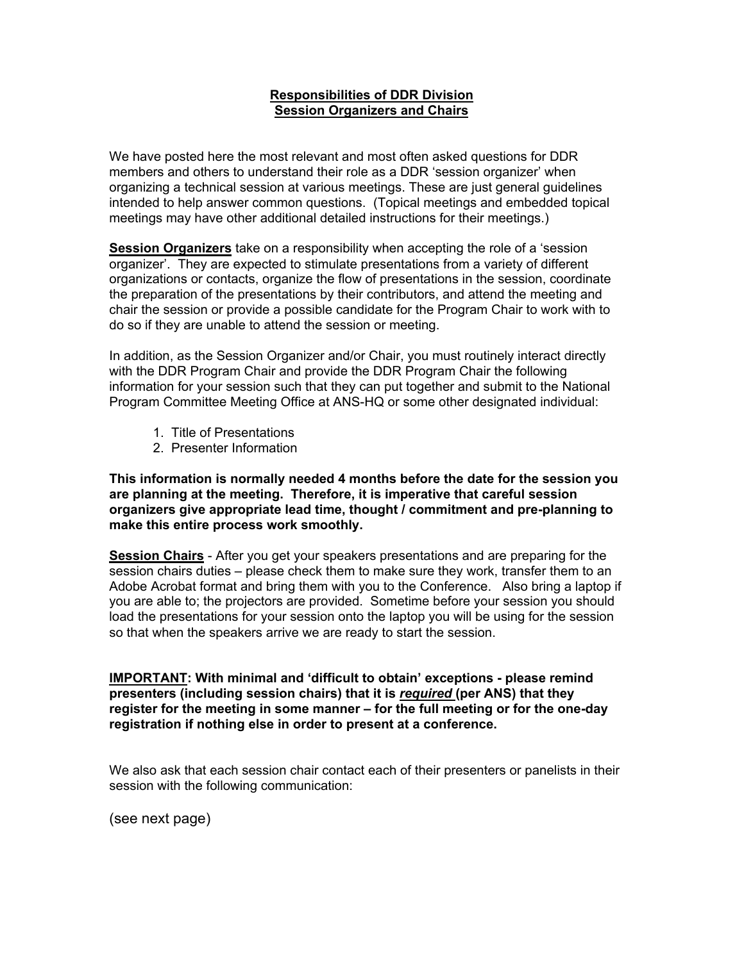## **Responsibilities of DDR Division Session Organizers and Chairs**

We have posted here the most relevant and most often asked questions for DDR members and others to understand their role as a DDR 'session organizer' when organizing a technical session at various meetings. These are just general guidelines intended to help answer common questions. (Topical meetings and embedded topical meetings may have other additional detailed instructions for their meetings.)

**Session Organizers** take on a responsibility when accepting the role of a 'session organizer'. They are expected to stimulate presentations from a variety of different organizations or contacts, organize the flow of presentations in the session, coordinate the preparation of the presentations by their contributors, and attend the meeting and chair the session or provide a possible candidate for the Program Chair to work with to do so if they are unable to attend the session or meeting.

In addition, as the Session Organizer and/or Chair, you must routinely interact directly with the DDR Program Chair and provide the DDR Program Chair the following information for your session such that they can put together and submit to the National Program Committee Meeting Office at ANS-HQ or some other designated individual:

- 1. Title of Presentations
- 2. Presenter Information

**This information is normally needed 4 months before the date for the session you are planning at the meeting. Therefore, it is imperative that careful session organizers give appropriate lead time, thought / commitment and pre-planning to make this entire process work smoothly.**

**Session Chairs** - After you get your speakers presentations and are preparing for the session chairs duties – please check them to make sure they work, transfer them to an Adobe Acrobat format and bring them with you to the Conference. Also bring a laptop if you are able to; the projectors are provided. Sometime before your session you should load the presentations for your session onto the laptop you will be using for the session so that when the speakers arrive we are ready to start the session.

**IMPORTANT: With minimal and 'difficult to obtain' exceptions - please remind presenters (including session chairs) that it is** *required* **(per ANS) that they register for the meeting in some manner – for the full meeting or for the one-day registration if nothing else in order to present at a conference.**

We also ask that each session chair contact each of their presenters or panelists in their session with the following communication:

(see next page)